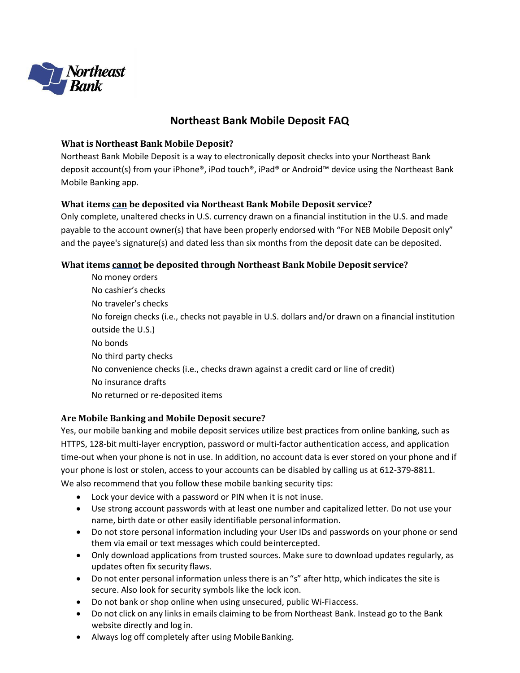

# **Northeast Bank Mobile Deposit FAQ**

#### **What is Northeast Bank Mobile Deposit?**

Northeast Bank Mobile Deposit is a way to electronically deposit checks into your Northeast Bank deposit account(s) from your iPhone®, iPod touch®, iPad® or Android™ device using the Northeast Bank Mobile Banking app.

# **What items can be deposited via Northeast Bank Mobile Deposit service?**

Only complete, unaltered checks in U.S. currency drawn on a financial institution in the U.S. and made payable to the account owner(s) that have been properly endorsed with "For NEB Mobile Deposit only" and the payee's signature(s) and dated less than six months from the deposit date can be deposited.

# **What items cannot be deposited through Northeast Bank Mobile Deposit service?**

No money orders No cashier's checks No traveler's checks No foreign checks (i.e., checks not payable in U.S. dollars and/or drawn on a financial institution outside the U.S.) No bonds No third party checks No convenience checks (i.e., checks drawn against a credit card or line of credit) No insurance drafts No returned or re-deposited items

## **Are Mobile Banking and Mobile Deposit secure?**

Yes, our mobile banking and mobile deposit services utilize best practices from online banking, such as HTTPS, 128-bit multi-layer encryption, password or multi-factor authentication access, and application time-out when your phone is not in use. In addition, no account data is ever stored on your phone and if your phone is lost or stolen, access to your accounts can be disabled by calling us at 612-379-8811. We also recommend that you follow these mobile banking security tips:

- Lock your device with a password or PIN when it is not inuse.
- Use strong account passwords with at least one number and capitalized letter. Do not use your name, birth date or other easily identifiable personal information.
- Do not store personal information including your User IDs and passwords on your phone or send them via email or text messages which could beintercepted.
- Only download applications from trusted sources. Make sure to download updates regularly, as updates often fix security flaws.
- Do not enter personal information unless there is an "s" after http, which indicates the site is secure. Also look for security symbols like the lock icon.
- Do not bank or shop online when using unsecured, public Wi-Fiaccess.
- Do not click on any links in emails claiming to be from Northeast Bank. Instead go to the Bank website directly and log in.
- Always log off completely after using Mobile Banking.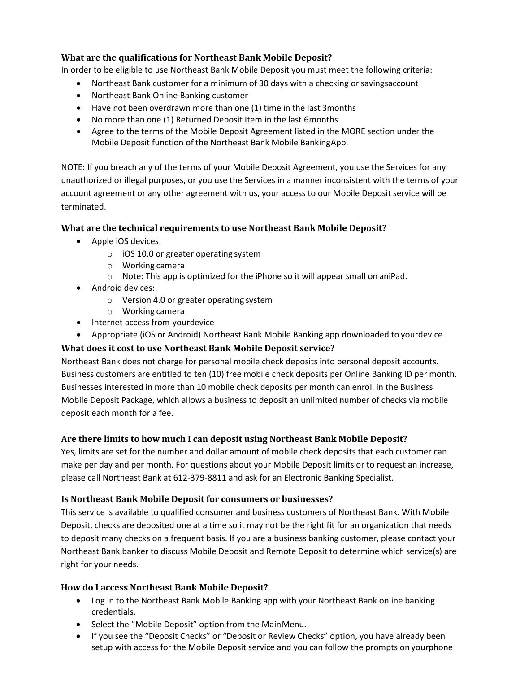# **What are the qualifications for Northeast Bank Mobile Deposit?**

In order to be eligible to use Northeast Bank Mobile Deposit you must meet the following criteria:

- Northeast Bank customer for a minimum of 30 days with a checking or savingsaccount
- Northeast Bank Online Banking customer
- Have not been overdrawn more than one (1) time in the last 3months
- No more than one (1) Returned Deposit Item in the last 6months
- Agree to the terms of the Mobile Deposit Agreement listed in the MORE section under the Mobile Deposit function of the Northeast Bank Mobile BankingApp.

NOTE: If you breach any of the terms of your Mobile Deposit Agreement, you use the Services for any unauthorized or illegal purposes, or you use the Services in a manner inconsistent with the terms of your account agreement or any other agreement with us, your access to our Mobile Deposit service will be terminated.

# **What are the technical requirements to use Northeast Bank Mobile Deposit?**

- Apple iOS devices:
	- o iOS 10.0 or greater operating system
	- o Working camera
	- $\circ$  Note: This app is optimized for the iPhone so it will appear small on aniPad.
- Android devices:
	- o Version 4.0 or greater operating system
	- o Working camera
- Internet access from yourdevice
- Appropriate (iOS or Android) Northeast Bank Mobile Banking app downloaded to yourdevice

# **What does it cost to use Northeast Bank Mobile Deposit service?**

Northeast Bank does not charge for personal mobile check deposits into personal deposit accounts. Business customers are entitled to ten (10) free mobile check deposits per Online Banking ID per month. Businesses interested in more than 10 mobile check deposits per month can enroll in the Business Mobile Deposit Package, which allows a business to deposit an unlimited number of checks via mobile deposit each month for a fee.

## **Are there limits to how much I can deposit using Northeast Bank Mobile Deposit?**

Yes, limits are set for the number and dollar amount of mobile check deposits that each customer can make per day and per month. For questions about your Mobile Deposit limits or to request an increase, please call Northeast Bank at 612-379-8811 and ask for an Electronic Banking Specialist.

## **Is Northeast Bank Mobile Deposit for consumers or businesses?**

This service is available to qualified consumer and business customers of Northeast Bank. With Mobile Deposit, checks are deposited one at a time so it may not be the right fit for an organization that needs to deposit many checks on a frequent basis. If you are a business banking customer, please contact your Northeast Bank banker to discuss Mobile Deposit and Remote Deposit to determine which service(s) are right for your needs.

## **How do I access Northeast Bank Mobile Deposit?**

- Log in to the Northeast Bank Mobile Banking app with your Northeast Bank online banking credentials.
- Select the "Mobile Deposit" option from the MainMenu.
- If you see the "Deposit Checks" or "Deposit or Review Checks" option, you have already been setup with access for the Mobile Deposit service and you can follow the prompts on yourphone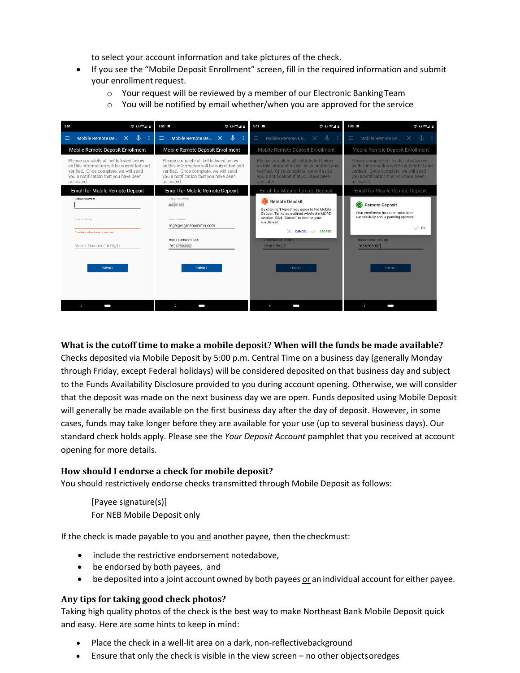to select your account information and take pictures of the check.

- If you see the "Mobile Deposit Enrollment" screen, fill in the required information and submit your enrollment request.
	- o Your request will be reviewed by a member of our Electronic BankingTeam
	- $\circ$  You will be notified by email whether/when you are approved for the service

| <b>OUTE</b><br>3:02                                                                                                                                                                  | <b>SOUTE</b><br>$3:03 \quad \Box$                                                                                                                                                    | $3:03$ $\blacksquare$<br><b>© OHTE⊿</b>                                                                                                                                              | $3:03$ $\blacksquare$<br>$\heartsuit$ OUTE $\measuredangle$ =                                                                                                                        |
|--------------------------------------------------------------------------------------------------------------------------------------------------------------------------------------|--------------------------------------------------------------------------------------------------------------------------------------------------------------------------------------|--------------------------------------------------------------------------------------------------------------------------------------------------------------------------------------|--------------------------------------------------------------------------------------------------------------------------------------------------------------------------------------|
| J<br>Mobile Remote De X<br>$\equiv$                                                                                                                                                  | J<br>Mobile Remote De<br>$\equiv$<br>3<br>$\mathsf{x}$                                                                                                                               | Mobile Remote De X<br>$\equiv$<br>J                                                                                                                                                  | ⋓<br>Mobile Remote De<br>$\mathbf{\times}$                                                                                                                                           |
| Mobile Remote Deposit Enrollment                                                                                                                                                     | Mobile Remote Deposit Enrollment                                                                                                                                                     | Mobile Remote Deposit Enrollment                                                                                                                                                     | Mobile Remote Deposit Enrollment                                                                                                                                                     |
| Please complete all fields listed below<br>as this information will be submitted and<br>verified. Once complete, we will send<br>you a notification that you have been<br>activated. | Please complete all fields listed below<br>as this information will be submitted and<br>verified. Once complete, we will send<br>you a notification that you have been<br>activated. | Please complete all fields listed below<br>as this information will be submitted and<br>verified. Once complete, we will send<br>you a notification that you have been<br>activated. | Please complete all fields listed below<br>as this information will be submitted and<br>verified. Once complete, we will send<br>you a notification that you have been<br>activated. |
| Enroll for Mobile Remote Deposit                                                                                                                                                     | Enroll for Mobile Remote Deposit                                                                                                                                                     | Enroll for Mobile Remote Deposit                                                                                                                                                     | Enroll for Mobile Remote Deposit                                                                                                                                                     |
| Account Number                                                                                                                                                                       | Account Number<br>4000100                                                                                                                                                            | <b>Remote Deposit</b><br>By clicking 'I Agree', you agree to the Mobile<br>Deposit Terms as outlined within the MORE<br>section. Click 'Cancel' to decline your                      | Remote Deposit<br>Your enrollment has been submitted<br>successfully and is pending approval.                                                                                        |
| Email Address                                                                                                                                                                        | Email Address<br>mgeiger@nebankmn.com                                                                                                                                                | enrollment.<br><b>LAGREE</b><br><b>CANCEL</b>                                                                                                                                        | $\checkmark$ ok                                                                                                                                                                      |
| A valid email address is required.                                                                                                                                                   | Mobile Number (10 Digit)                                                                                                                                                             | Mobile Number (10 Digit)                                                                                                                                                             | Mobile Number (10 Digit)                                                                                                                                                             |
| Mobile Number (10 Digit)                                                                                                                                                             | 763 - 1                                                                                                                                                                              | 7636706082                                                                                                                                                                           | 7636706082                                                                                                                                                                           |
| <b>ENROLL</b>                                                                                                                                                                        | <b>ENROLL</b>                                                                                                                                                                        | <b>ENROLL</b>                                                                                                                                                                        | <b>ENROLL</b>                                                                                                                                                                        |
| $\epsilon$                                                                                                                                                                           | $\epsilon$                                                                                                                                                                           | $\left\langle \right\rangle$                                                                                                                                                         | $\epsilon$                                                                                                                                                                           |

## **What is the cutoff time to make a mobile deposit? When will the funds be made available?**

Checks deposited via Mobile Deposit by 5:00 p.m. Central Time on a business day (generally Monday through Friday, except Federal holidays) will be considered deposited on that business day and subject to the Funds Availability Disclosure provided to you during account opening. Otherwise, we will consider that the deposit was made on the next business day we are open. Funds deposited using Mobile Deposit will generally be made available on the first business day after the day of deposit. However, in some cases, funds may take longer before they are available for your use (up to several business days). Our standard check holds apply. Please see the *Your Deposit Account* pamphlet that you received at account opening for more details.

#### **How should I endorse a check for mobile deposit?**

You should restrictively endorse checks transmitted through Mobile Deposit as follows:

[Payee signature(s)] For NEB Mobile Deposit only

If the check is made payable to you and another payee, then the checkmust:

- include the restrictive endorsement notedabove,
- be endorsed by both payees, and
- be deposited into a joint account owned by both payees or an individual account for either payee.

#### **Any tips for taking good check photos?**

Taking high quality photos of the check is the best way to make Northeast Bank Mobile Deposit quick and easy. Here are some hints to keep in mind:

- Place the check in a well-lit area on a dark, non-reflectivebackground
- Ensure that only the check is visible in the view screen no other objectsoredges